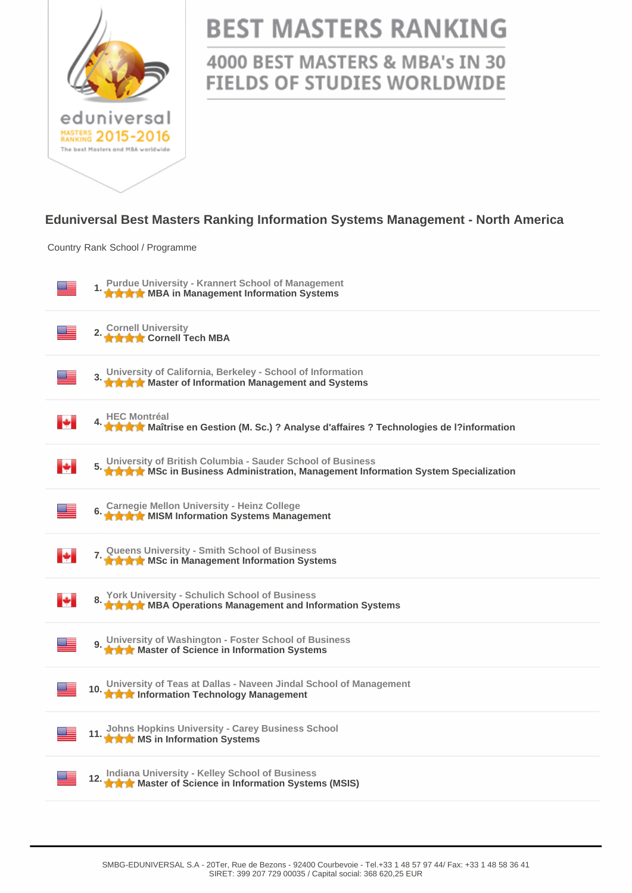

## **BEST MASTERS RANKING**

## 4000 BEST MASTERS & MBA's IN 30 **FIELDS OF STUDIES WORLDWIDE**

## **Eduniversal Best Masters Ranking Information Systems Management - North America**

Country Rank School / Programme

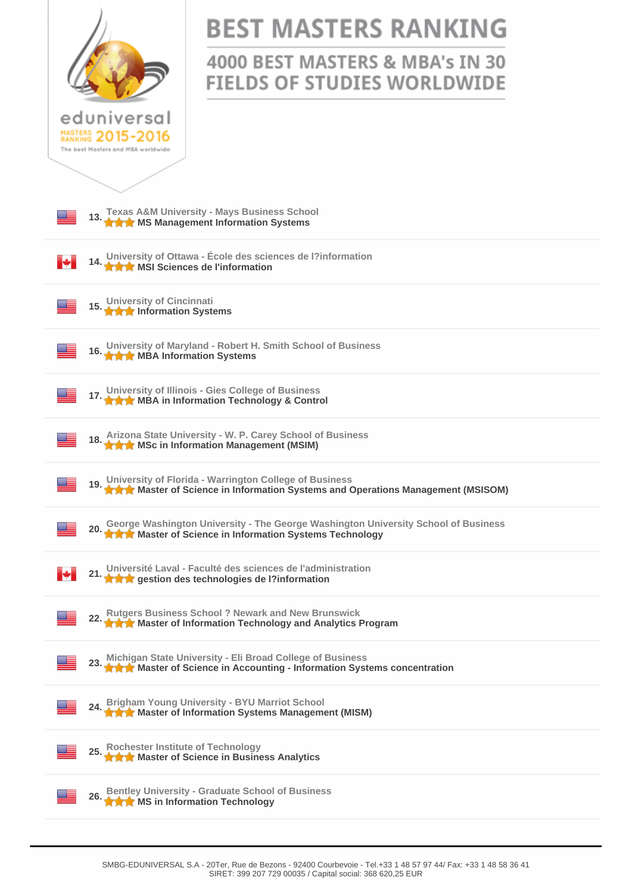|                                                                                                                                                       | <b>BEST MASTERS RANKING</b>                                           |
|-------------------------------------------------------------------------------------------------------------------------------------------------------|-----------------------------------------------------------------------|
|                                                                                                                                                       | 4000 BEST MASTERS & MBA's IN 30<br><b>FIELDS OF STUDIES WORLDWIDE</b> |
| eduniversal<br>MASTERS 2015-2016<br>The best Masters and MBA worldwide                                                                                |                                                                       |
|                                                                                                                                                       |                                                                       |
| Texas A&M University - Mays Business School<br>★★★ MS Management Information Systems                                                                  |                                                                       |
| 14. University of Ottawa - École des sciences de l?information<br>14. A A MSI Sciences de l'information                                               |                                                                       |
| 15. University of Cincinnati<br>15. A M Information Systems                                                                                           |                                                                       |
| 16. University of Maryland - Robert H. Smith School of Business<br>16. A A MBA Information Systems                                                    |                                                                       |
| University of Illinois - Gies College of Business<br>The MBA in Information Technology & Control                                                      |                                                                       |
| Arizona State University - W. P. Carey School of Business<br>★★★ MSc in Information Management (MSIM)                                                 |                                                                       |
| University of Florida - Warrington College of Business<br>Art A Master of Science in Information Systems and Operations Management (MSISOM)           |                                                                       |
| 20. George Washington University - The George Washington University School of Business<br>20. A A Master of Science in Information Systems Technology |                                                                       |
| 21. Université Laval - Faculté des sciences de l'administration<br>21. A A gestion des technologies de l?information                                  |                                                                       |
| 22. Rutgers Business School ? Newark and New Brunswick<br>22. A A Master of Information Technology and Analytics Program                              |                                                                       |
| Michigan State University - Eli Broad College of Business<br>★★★ Master of Science in Accounting - Information Systems concentration                  |                                                                       |
| 24. Brigham Young University - BYU Marriot School<br>24. A Master of Information Systems Management (MISM)                                            |                                                                       |
| 25. Rochester Institute of Technology<br>25. A A Master of Science in Business Analytics                                                              |                                                                       |
| Bentley University - Graduate School of Business<br>★★★ MS in Information Technology                                                                  |                                                                       |
|                                                                                                                                                       |                                                                       |